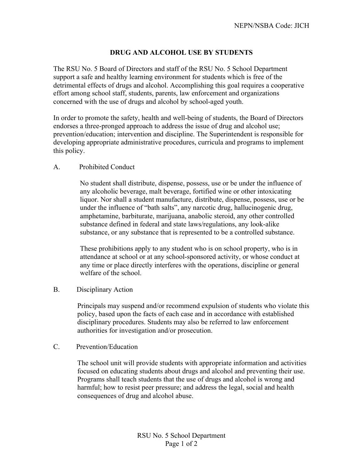# **DRUG AND ALCOHOL USE BY STUDENTS**

The RSU No. 5 Board of Directors and staff of the RSU No. 5 School Department support a safe and healthy learning environment for students which is free of the detrimental effects of drugs and alcohol. Accomplishing this goal requires a cooperative effort among school staff, students, parents, law enforcement and organizations concerned with the use of drugs and alcohol by school-aged youth.

In order to promote the safety, health and well-being of students, the Board of Directors endorses a three-pronged approach to address the issue of drug and alcohol use; prevention/education; intervention and discipline. The Superintendent is responsible for developing appropriate administrative procedures, curricula and programs to implement this policy.

#### A. Prohibited Conduct

No student shall distribute, dispense, possess, use or be under the influence of any alcoholic beverage, malt beverage, fortified wine or other intoxicating liquor. Nor shall a student manufacture, distribute, dispense, possess, use or be under the influence of "bath salts", any narcotic drug, hallucinogenic drug, amphetamine, barbiturate, marijuana, anabolic steroid, any other controlled substance defined in federal and state laws/regulations, any look-alike substance, or any substance that is represented to be a controlled substance.

These prohibitions apply to any student who is on school property, who is in attendance at school or at any school-sponsored activity, or whose conduct at any time or place directly interferes with the operations, discipline or general welfare of the school.

#### B. Disciplinary Action

Principals may suspend and/or recommend expulsion of students who violate this policy, based upon the facts of each case and in accordance with established disciplinary procedures. Students may also be referred to law enforcement authorities for investigation and/or prosecution.

#### C. Prevention/Education

The school unit will provide students with appropriate information and activities focused on educating students about drugs and alcohol and preventing their use. Programs shall teach students that the use of drugs and alcohol is wrong and harmful; how to resist peer pressure; and address the legal, social and health consequences of drug and alcohol abuse.